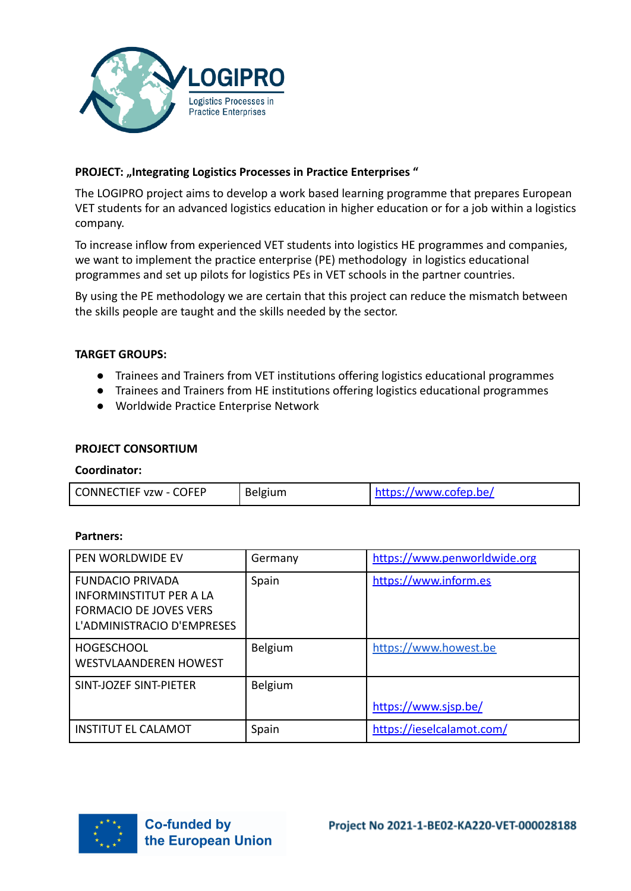

# PROJECT: "Integrating Logistics Processes in Practice Enterprises"

The LOGIPRO project aims to develop a work based learning programme that prepares European VET students for an advanced logistics education in higher education or for a job within a logistics company.

To increase inflow from experienced VET students into logistics HE programmes and companies, we want to implement the practice enterprise (PE) methodology in logistics educational programmes and set up pilots for logistics PEs in VET schools in the partner countries.

By using the PE methodology we are certain that this project can reduce the mismatch between the skills people are taught and the skills needed by the sector.

# **TARGET GROUPS:**

- Trainees and Trainers from VET institutions offering logistics educational programmes
- Trainees and Trainers from HE institutions offering logistics educational programmes
- Worldwide Practice Enterprise Network

### **PROJECT CONSORTIUM**

#### **Coordinator:**

| <b>CONNECTIEF vzw - COFEP</b> | <b>Belgium</b> | https://www.cofep.be/ |
|-------------------------------|----------------|-----------------------|

#### **Partners:**

| PEN WORLDWIDE EV                                                                                                         | Germany | https://www.penworldwide.org |
|--------------------------------------------------------------------------------------------------------------------------|---------|------------------------------|
| <b>FUNDACIO PRIVADA</b><br><b>INFORMINSTITUT PER A LA</b><br><b>FORMACIO DE JOVES VERS</b><br>L'ADMINISTRACIO D'EMPRESES | Spain   | https://www.inform.es        |
| <b>HOGESCHOOL</b><br><b>WESTVLAANDEREN HOWEST</b>                                                                        | Belgium | https://www.howest.be        |
| SINT-JOZEF SINT-PIETER                                                                                                   | Belgium |                              |
|                                                                                                                          |         | https://www.sjsp.be/         |
| <b>INSTITUT EL CALAMOT</b>                                                                                               | Spain   | https://ieselcalamot.com/    |

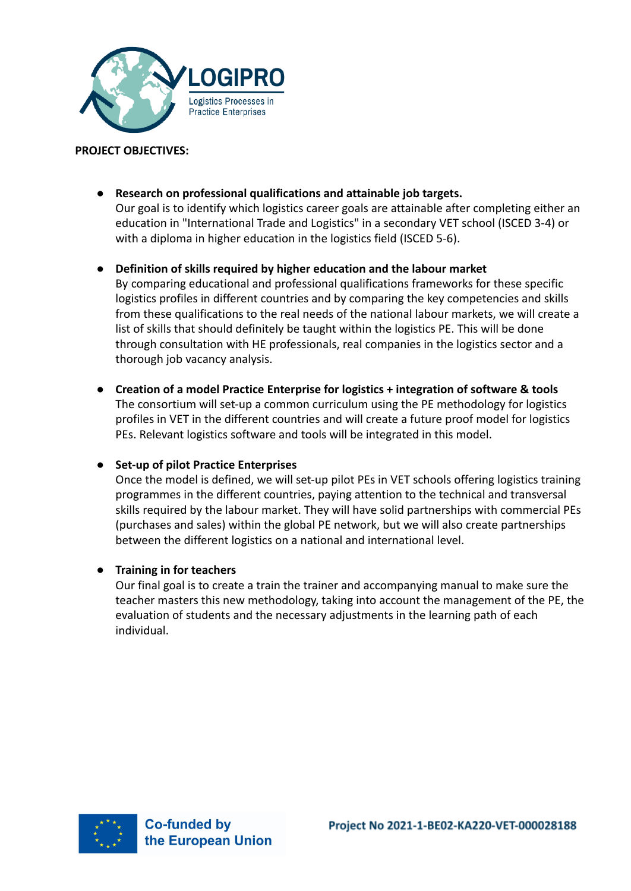

# **PROJECT OBJECTIVES:**

● **Research on professional qualifications and attainable job targets.** Our goal is to identify which logistics career goals are attainable after completing either an education in "International Trade and Logistics" in a secondary VET school (ISCED 3-4) or with a diploma in higher education in the logistics field (ISCED 5-6).

## ● **Definition of skills required by higher education and the labour market**

By comparing educational and professional qualifications frameworks for these specific logistics profiles in different countries and by comparing the key competencies and skills from these qualifications to the real needs of the national labour markets, we will create a list of skills that should definitely be taught within the logistics PE. This will be done through consultation with HE professionals, real companies in the logistics sector and a thorough job vacancy analysis.

● **Creation of a model Practice Enterprise for logistics + integration of software & tools** The consortium will set-up a common curriculum using the PE methodology for logistics profiles in VET in the different countries and will create a future proof model for logistics PEs. Relevant logistics software and tools will be integrated in this model.

### ● **Set-up of pilot Practice Enterprises**

Once the model is defined, we will set-up pilot PEs in VET schools offering logistics training programmes in the different countries, paying attention to the technical and transversal skills required by the labour market. They will have solid partnerships with commercial PEs (purchases and sales) within the global PE network, but we will also create partnerships between the different logistics on a national and international level.

### ● **Training in for teachers**

Our final goal is to create a train the trainer and accompanying manual to make sure the teacher masters this new methodology, taking into account the management of the PE, the evaluation of students and the necessary adjustments in the learning path of each individual.